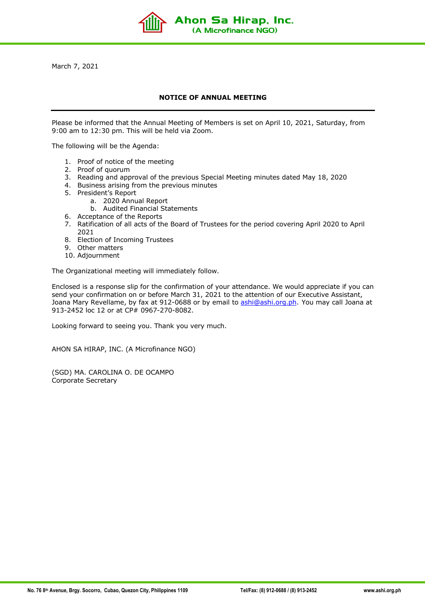March 7, 2021

## **NOTICE OF ANNUAL MEETING**

Ahon Sa Hirap, Inc. (A Microfinance NGO)

Please be informed that the Annual Meeting of Members is set on April 10, 2021, Saturday, from 9:00 am to 12:30 pm. This will be held via Zoom.

The following will be the Agenda:

- 1. Proof of notice of the meeting
- 2. Proof of quorum
- 3. Reading and approval of the previous Special Meeting minutes dated May 18, 2020
- 4. Business arising from the previous minutes
- 5. President's Report
	- a. 2020 Annual Report
	- b. Audited Financial Statements
- 6. Acceptance of the Reports
- 7. Ratification of all acts of the Board of Trustees for the period covering April 2020 to April 2021
- 8. Election of Incoming Trustees
- 9. Other matters
- 10. Adjournment

The Organizational meeting will immediately follow.

Enclosed is a response slip for the confirmation of your attendance. We would appreciate if you can send your confirmation on or before March 31, 2021 to the attention of our Executive Assistant, Joana Mary Revellame, by fax at 912-0688 or by email to ashi@ashi.org.ph. You may call Joana at 913-2452 loc 12 or at CP# 0967-270-8082.

Looking forward to seeing you. Thank you very much.

AHON SA HIRAP, INC. (A Microfinance NGO)

(SGD) MA. CAROLINA O. DE OCAMPO Corporate Secretary